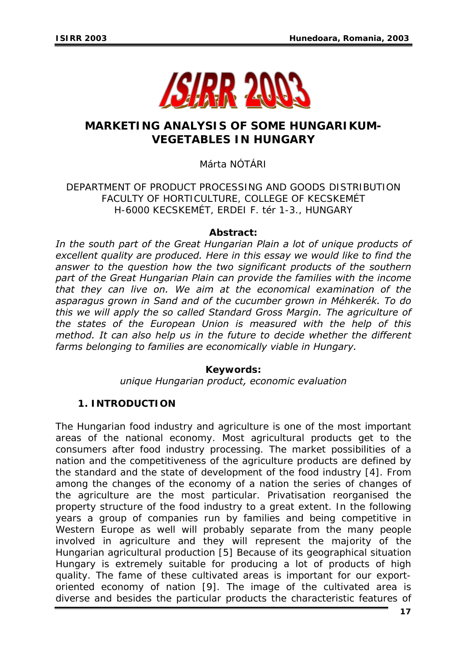

## **MARKETING ANALYSIS OF SOME HUNGARIKUM-VEGETABLES IN HUNGARY**

Márta NÓTÁRI

DEPARTMENT OF PRODUCT PROCESSING AND GOODS DISTRIBUTION FACULTY OF HORTICULTURE, COLLEGE OF KECSKEMÉT H-6000 KECSKEMÉT, ERDEI F. tér 1-3., HUNGARY

## *Abstract:*

*In the south part of the Great Hungarian Plain a lot of unique products of excellent quality are produced. Here in this essay we would like to find the answer to the question how the two significant products of the southern part of the Great Hungarian Plain can provide the families with the income that they can live on. We aim at the economical examination of the asparagus grown in Sand and of the cucumber grown in Méhkerék. To do this we will apply the so called Standard Gross Margin. The agriculture of the states of the European Union is measured with the help of this method. It can also help us in the future to decide whether the different farms belonging to families are economically viable in Hungary.* 

*Keywords:* 

*unique Hungarian product, economic evaluation*

## **1. INTRODUCTION**

The Hungarian food industry and agriculture is one of the most important areas of the national economy. Most agricultural products get to the consumers after food industry processing. The market possibilities of a nation and the competitiveness of the agriculture products are defined by the standard and the state of development of the food industry [4]. From among the changes of the economy of a nation the series of changes of the agriculture are the most particular. Privatisation reorganised the property structure of the food industry to a great extent. In the following years a group of companies run by families and being competitive in Western Europe as well will probably separate from the many people involved in agriculture and they will represent the majority of the Hungarian agricultural production [5] Because of its geographical situation Hungary is extremely suitable for producing a lot of products of high quality. The fame of these cultivated areas is important for our exportoriented economy of nation [9]. The image of the cultivated area is diverse and besides the particular products the characteristic features of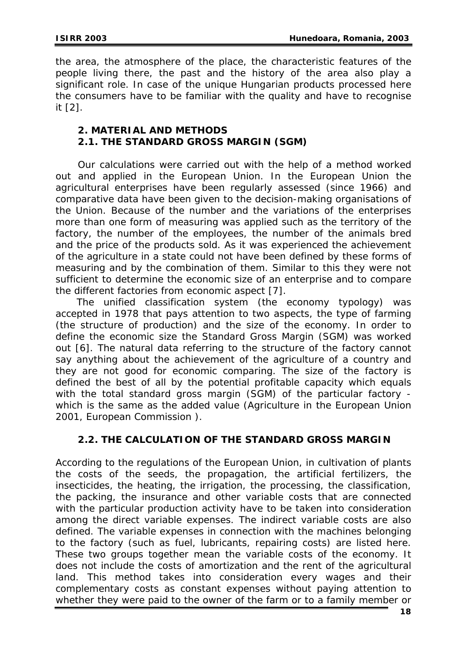the area, the atmosphere of the place, the characteristic features of the people living there, the past and the history of the area also play a significant role. In case of the unique Hungarian products processed here the consumers have to be familiar with the quality and have to recognise it [2].

## **2. MATERIAL AND METHODS 2.1. THE STANDARD GROSS MARGIN (SGM)**

 Our calculations were carried out with the help of a method worked out and applied in the European Union. In the European Union the agricultural enterprises have been regularly assessed (since 1966) and comparative data have been given to the decision-making organisations of the Union. Because of the number and the variations of the enterprises more than one form of measuring was applied such as the territory of the factory, the number of the employees, the number of the animals bred and the price of the products sold. As it was experienced the achievement of the agriculture in a state could not have been defined by these forms of measuring and by the combination of them. Similar to this they were not sufficient to determine the economic size of an enterprise and to compare the different factories from economic aspect [7].

The unified classification system (the economy typology) was accepted in 1978 that pays attention to two aspects, the type of farming (the structure of production) and the size of the economy. In order to define the economic size the Standard Gross Margin (SGM) was worked out [6]. The natural data referring to the structure of the factory cannot say anything about the achievement of the agriculture of a country and they are not good for economic comparing. The size of the factory is defined the best of all by the potential profitable capacity which equals with the total standard gross margin (SGM) of the particular factory which is the same as the added value (Agriculture in the European Union 2001, European Commission ).

## **2.2. THE CALCULATION OF THE STANDARD GROSS MARGIN**

According to the regulations of the European Union, in cultivation of plants the costs of the seeds, the propagation, the artificial fertilizers, the insecticides, the heating, the irrigation, the processing, the classification, the packing, the insurance and other variable costs that are connected with the particular production activity have to be taken into consideration among the direct variable expenses. The indirect variable costs are also defined. The variable expenses in connection with the machines belonging to the factory (such as fuel, lubricants, repairing costs) are listed here. These two groups together mean the variable costs of the economy. It does not include the costs of amortization and the rent of the agricultural land. This method takes into consideration every wages and their complementary costs as constant expenses without paying attention to whether they were paid to the owner of the farm or to a family member or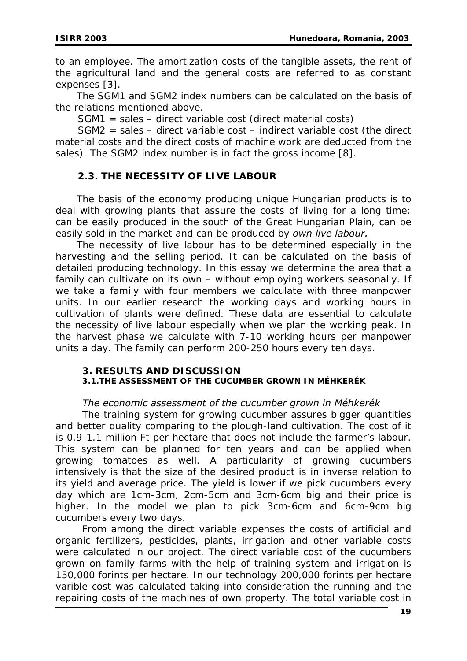to an employee. The amortization costs of the tangible assets, the rent of the agricultural land and the general costs are referred to as constant expenses [3].

The SGM1 and SGM2 index numbers can be calculated on the basis of the relations mentioned above.

SGM1 = sales – direct variable cost (direct material costs)

 SGM2 = sales – direct variable cost – indirect variable cost (the direct material costs and the direct costs of machine work are deducted from the sales). The SGM2 index number is in fact the gross income [8].

## **2.3. THE NECESSITY OF LIVE LABOUR**

The basis of the economy producing unique Hungarian products is to deal with growing plants that assure the costs of living for a long time; can be easily produced in the south of the Great Hungarian Plain, can be easily sold in the market and can be produced by *own live labour.* 

The necessity of live labour has to be determined especially in the harvesting and the selling period. It can be calculated on the basis of detailed producing technology. In this essay we determine the area that a family can cultivate on its own – without employing workers seasonally. If we take a family with four members we calculate with three manpower units. In our earlier research the working days and working hours in cultivation of plants were defined. These data are essential to calculate the necessity of live labour especially when we plan the working peak. In the harvest phase we calculate with 7-10 working hours per manpower units a day. The family can perform 200-250 hours every ten days.

### **3. RESULT***S* **AND DISCUSSION 3.1.THE ASSESSMENT OF THE CUCUMBER GROWN IN MÉHKERÉK**

# *The economic assessment of the cucumber grown in Méhkerék*

The training system for growing cucumber assures bigger quantities and better quality comparing to the plough-land cultivation. The cost of it is 0.9-1.1 million Ft per hectare that does not include the farmer's labour. This system can be planned for ten years and can be applied when growing tomatoes as well. A particularity of growing cucumbers intensively is that the size of the desired product is in inverse relation to its yield and average price. The yield is lower if we pick cucumbers every day which are 1cm-3cm, 2cm-5cm and 3cm-6cm big and their price is higher. In the model we plan to pick 3cm-6cm and 6cm-9cm big cucumbers every two days.

From among the direct variable expenses the costs of artificial and organic fertilizers, pesticides, plants, irrigation and other variable costs were calculated in our project. The direct variable cost of the cucumbers grown on family farms with the help of training system and irrigation is 150,000 forints per hectare. In our technology 200,000 forints per hectare varible cost was calculated taking into consideration the running and the repairing costs of the machines of own property. The total variable cost in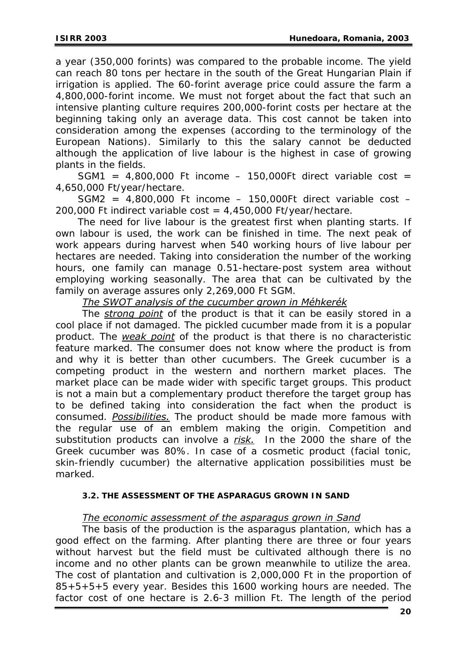a year (350,000 forints) was compared to the probable income. The yield can reach 80 tons per hectare in the south of the Great Hungarian Plain if irrigation is applied. The 60-forint average price could assure the farm a 4,800,000-forint income. We must not forget about the fact that such an intensive planting culture requires 200,000-forint costs per hectare at the beginning taking only an average data. This cost cannot be taken into consideration among the expenses (according to the terminology of the European Nations). Similarly to this the salary cannot be deducted although the application of live labour is the highest in case of growing plants in the fields.

SGM1 =  $4,800,000$  Ft income - 150,000Ft direct variable cost = 4,650,000 Ft/year/hectare.

 $SGM2 = 4,800,000$  Ft income - 150,000Ft direct variable cost -200,000 Ft indirect variable cost =  $4,450,000$  Ft/year/hectare.

The need for live labour is the greatest first when planting starts. If own labour is used, the work can be finished in time. The next peak of work appears during harvest when 540 working hours of live labour per hectares are needed. Taking into consideration the number of the working hours, one family can manage 0.51-hectare-post system area without employing working seasonally. The area that can be cultivated by the family on average assures only 2,269,000 Ft SGM.

*The SWOT analysis of the cucumber grown in Méhkerék*

The *strong point* of the product is that it can be easily stored in a cool place if not damaged. The pickled cucumber made from it is a popular product. The *weak point* of the product is that there is no characteristic feature marked. The consumer does not know where the product is from and why it is better than other cucumbers. The Greek cucumber is a competing product in the western and northern market places. The market place can be made wider with specific target groups. This product is not a main but a complementary product therefore the target group has to be defined taking into consideration the fact when the product is consumed. *Possibilities.* The product should be made more famous with the regular use of an emblem making the origin. Competition and substitution products can involve a *risk.* In the 2000 the share of the Greek cucumber was 80%. In case of a cosmetic product (facial tonic, skin-friendly cucumber) the alternative application possibilities must be marked.

### **3.2. THE ASSESSMENT OF THE ASPARAGUS GROWN IN SAND**

### *The economic assessment of the asparagus grown in Sand*

The basis of the production is the asparagus plantation, which has a good effect on the farming. After planting there are three or four years without harvest but the field must be cultivated although there is no income and no other plants can be grown meanwhile to utilize the area. The cost of plantation and cultivation is 2,000,000 Ft in the proportion of 85+5+5+5 every year. Besides this 1600 working hours are needed. The factor cost of one hectare is 2.6-3 million Ft. The length of the period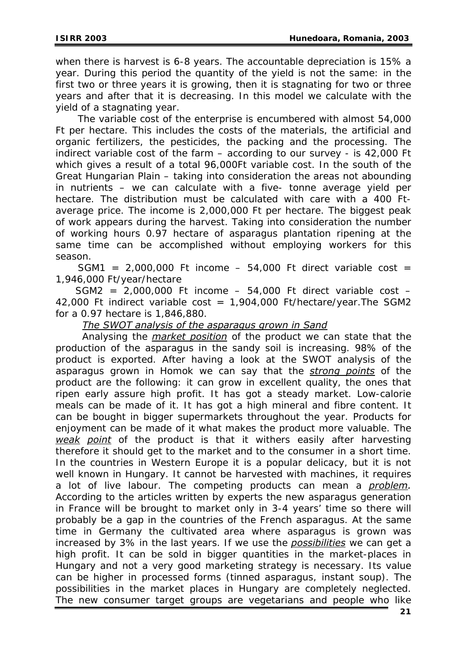when there is harvest is 6-8 years. The accountable depreciation is 15% a year. During this period the quantity of the yield is not the same: in the first two or three years it is growing, then it is stagnating for two or three years and after that it is decreasing. In this model we calculate with the yield of a stagnating year.

The variable cost of the enterprise is encumbered with almost 54,000 Ft per hectare. This includes the costs of the materials, the artificial and organic fertilizers, the pesticides, the packing and the processing. The indirect variable cost of the farm – according to our survey - is 42,000 Ft which gives a result of a total 96,000Ft variable cost. In the south of the Great Hungarian Plain – taking into consideration the areas not abounding in nutrients – we can calculate with a five- tonne average yield per hectare. The distribution must be calculated with care with a 400 Ftaverage price. The income is 2,000,000 Ft per hectare. The biggest peak of work appears during the harvest. Taking into consideration the number of working hours 0.97 hectare of asparagus plantation ripening at the same time can be accomplished without employing workers for this season.

SGM1 =  $2,000,000$  Ft income - 54,000 Ft direct variable cost = 1,946,000 Ft/year/hectare

SGM2 =  $2,000,000$  Ft income - 54,000 Ft direct variable cost -42,000 Ft indirect variable cost =  $1,904,000$  Ft/hectare/year. The SGM2 for a 0.97 hectare is 1,846,880.

*The SWOT analysis of the asparagus grown in Sand*

Analysing the *market position* of the product we can state that the production of the asparagus in the sandy soil is increasing. 98% of the product is exported. After having a look at the SWOT analysis of the asparagus grown in Homok we can say that the *strong points* of the product are the following: it can grow in excellent quality, the ones that ripen early assure high profit. It has got a steady market. Low-calorie meals can be made of it. It has got a high mineral and fibre content. It can be bought in bigger supermarkets throughout the year. Products for enjoyment can be made of it what makes the product more valuable. The *weak point* of the product is that it withers easily after harvesting therefore it should get to the market and to the consumer in a short time. In the countries in Western Europe it is a popular delicacy, but it is not well known in Hungary. It cannot be harvested with machines, it requires a lot of live labour. The competing products can mean a *problem.* According to the articles written by experts the new asparagus generation in France will be brought to market only in 3-4 years' time so there will probably be a gap in the countries of the French asparagus. At the same time in Germany the cultivated area where asparagus is grown was increased by 3% in the last years. If we use the *possibilities* we can get a high profit. It can be sold in bigger quantities in the market-places in Hungary and not a very good marketing strategy is necessary. Its value can be higher in processed forms (tinned asparagus, instant soup). The possibilities in the market places in Hungary are completely neglected. The new consumer target groups are vegetarians and people who like